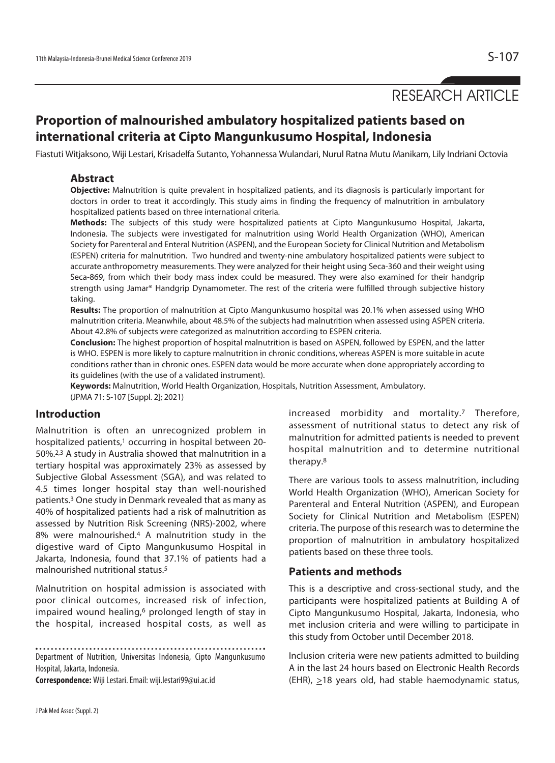# RESEARCH ARTICLE

# **Proportion of malnourished ambulatory hospitalized patients based on international criteria at Cipto Mangunkusumo Hospital, Indonesia**

Fiastuti Witjaksono, Wiji Lestari, Krisadelfa Sutanto, Yohannessa Wulandari, Nurul Ratna Mutu Manikam, Lily Indriani Octovia

### **Abstract**

**Objective:** Malnutrition is quite prevalent in hospitalized patients, and its diagnosis is particularly important for doctors in order to treat it accordingly. This study aims in finding the frequency of malnutrition in ambulatory hospitalized patients based on three international criteria.

**Methods:** The subjects of this study were hospitalized patients at Cipto Mangunkusumo Hospital, Jakarta, Indonesia. The subjects were investigated for malnutrition using World Health Organization (WHO), American Society for Parenteral and Enteral Nutrition (ASPEN), and the European Society for Clinical Nutrition and Metabolism (ESPEN) criteria for malnutrition. Two hundred and twenty-nine ambulatory hospitalized patients were subject to accurate anthropometry measurements. They were analyzed for their height using Seca-360 and their weight using Seca-869, from which their body mass index could be measured. They were also examined for their handgrip strength using Jamar® Handgrip Dynamometer. The rest of the criteria were fulfilled through subjective history taking.

**Results:** The proportion of malnutrition at Cipto Mangunkusumo hospital was 20.1% when assessed using WHO malnutrition criteria. Meanwhile, about 48.5% of the subjects had malnutrition when assessed using ASPEN criteria. About 42.8% of subjects were categorized as malnutrition according to ESPEN criteria.

**Conclusion:** The highest proportion of hospital malnutrition is based on ASPEN, followed by ESPEN, and the latter is WHO. ESPEN is more likely to capture malnutrition in chronic conditions, whereas ASPEN is more suitable in acute conditions rather than in chronic ones. ESPEN data would be more accurate when done appropriately according to its guidelines (with the use of a validated instrument).

**Keywords:** Malnutrition, World Health Organization, Hospitals, Nutrition Assessment, Ambulatory. (JPMA 71: S-107 [Suppl. 2]; 2021)

# **Introduction**

Malnutrition is often an unrecognized problem in hospitalized patients,<sup>1</sup> occurring in hospital between 20-50%.2,3 A study in Australia showed that malnutrition in a tertiary hospital was approximately 23% as assessed by Subjective Global Assessment (SGA), and was related to 4.5 times longer hospital stay than well-nourished patients.3 One study in Denmark revealed that as many as 40% of hospitalized patients had a risk of malnutrition as assessed by Nutrition Risk Screening (NRS)-2002, where 8% were malnourished.4 A malnutrition study in the digestive ward of Cipto Mangunkusumo Hospital in Jakarta, Indonesia, found that 37.1% of patients had a malnourished nutritional status.<sup>5</sup>

Malnutrition on hospital admission is associated with poor clinical outcomes, increased risk of infection, impaired wound healing,<sup>6</sup> prolonged length of stay in the hospital, increased hospital costs, as well as

. . . . . . . . . . .

Department of Nutrition, Universitas Indonesia, Cipto Mangunkusumo Hospital, Jakarta, Indonesia.

**Correspondence:** Wiji Lestari. Email: wiji.lestari99@ui.ac.id

increased morbidity and mortality.7 Therefore, assessment of nutritional status to detect any risk of malnutrition for admitted patients is needed to prevent hospital malnutrition and to determine nutritional therapy.8

There are various tools to assess malnutrition, including World Health Organization (WHO), American Society for Parenteral and Enteral Nutrition (ASPEN), and European Society for Clinical Nutrition and Metabolism (ESPEN) criteria. The purpose of this research was to determine the proportion of malnutrition in ambulatory hospitalized patients based on these three tools.

### **Patients and methods**

This is a descriptive and cross-sectional study, and the participants were hospitalized patients at Building A of Cipto Mangunkusumo Hospital, Jakarta, Indonesia, who met inclusion criteria and were willing to participate in this study from October until December 2018.

Inclusion criteria were new patients admitted to building A in the last 24 hours based on Electronic Health Records (EHR),  $\geq$ 18 years old, had stable haemodynamic status,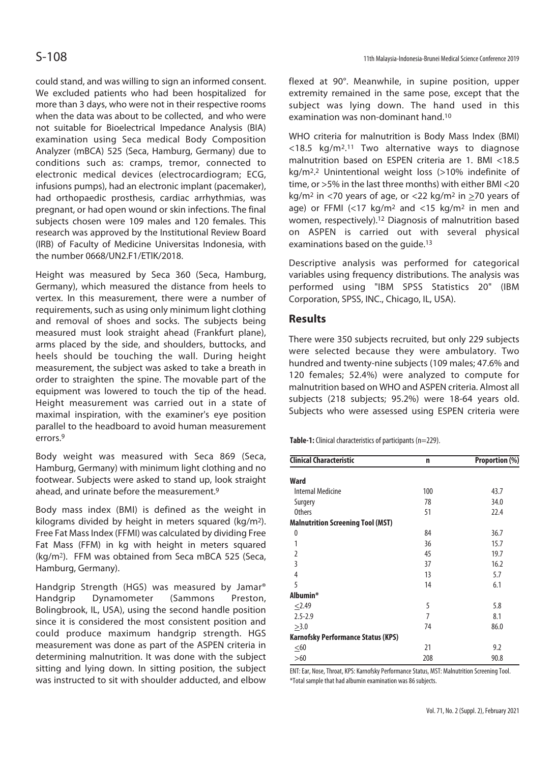could stand, and was willing to sign an informed consent. We excluded patients who had been hospitalized for more than 3 days, who were not in their respective rooms when the data was about to be collected, and who were not suitable for Bioelectrical Impedance Analysis (BIA) examination using Seca medical Body Composition Analyzer (mBCA) 525 (Seca, Hamburg, Germany) due to conditions such as: cramps, tremor, connected to electronic medical devices (electrocardiogram; ECG, infusions pumps), had an electronic implant (pacemaker), had orthopaedic prosthesis, cardiac arrhythmias, was pregnant, or had open wound or skin infections. The final subjects chosen were 109 males and 120 females. This research was approved by the Institutional Review Board (IRB) of Faculty of Medicine Universitas Indonesia, with the number 0668/UN2.F1/ETIK/2018.

Height was measured by Seca 360 (Seca, Hamburg, Germany), which measured the distance from heels to vertex. In this measurement, there were a number of requirements, such as using only minimum light clothing and removal of shoes and socks. The subjects being measured must look straight ahead (Frankfurt plane), arms placed by the side, and shoulders, buttocks, and heels should be touching the wall. During height measurement, the subject was asked to take a breath in order to straighten the spine. The movable part of the equipment was lowered to touch the tip of the head. Height measurement was carried out in a state of maximal inspiration, with the examiner's eye position parallel to the headboard to avoid human measurement errors.9

Body weight was measured with Seca 869 (Seca, Hamburg, Germany) with minimum light clothing and no footwear. Subjects were asked to stand up, look straight ahead, and urinate before the measurement.9

Body mass index (BMI) is defined as the weight in kilograms divided by height in meters squared (kg/m2). Free Fat Mass Index (FFMI) was calculated by dividing Free Fat Mass (FFM) in kg with height in meters squared (kg/m<sup>2</sup>). FFM was obtained from Seca mBCA 525 (Seca, Hamburg, Germany).

Handgrip Strength (HGS) was measured by Jamar® Handgrip Dynamometer (Sammons Preston, Bolingbrook, IL, USA), using the second handle position since it is considered the most consistent position and could produce maximum handgrip strength. HGS measurement was done as part of the ASPEN criteria in determining malnutrition. It was done with the subject sitting and lying down. In sitting position, the subject was instructed to sit with shoulder adducted, and elbow flexed at 90°. Meanwhile, in supine position, upper extremity remained in the same pose, except that the subject was lying down. The hand used in this examination was non-dominant hand.10

WHO criteria for malnutrition is Body Mass Index (BMI)  $<$ 18.5 kg/m<sup>2</sup>.<sup>11</sup> Two alternative ways to diagnose malnutrition based on ESPEN criteria are 1. BMI <18.5 kg/m2. 2 Unintentional weight loss (>10% indefinite of time, or >5% in the last three months) with either BMI <20 kg/m<sup>2</sup> in <70 years of age, or <22 kg/m<sup>2</sup> in >70 years of age) or FFMI  $\left($  <17 kg/m<sup>2</sup> and <15 kg/m<sup>2</sup> in men and women, respectively).12 Diagnosis of malnutrition based on ASPEN is carried out with several physical examinations based on the quide.<sup>13</sup>

Descriptive analysis was performed for categorical variables using frequency distributions. The analysis was performed using "IBM SPSS Statistics 20" (IBM Corporation, SPSS, INC., Chicago, IL, USA).

### **Results**

There were 350 subjects recruited, but only 229 subjects were selected because they were ambulatory. Two hundred and twenty-nine subjects (109 males; 47.6% and 120 females; 52.4%) were analyzed to compute for malnutrition based on WHO and ASPEN criteria. Almost all subjects (218 subjects; 95.2%) were 18-64 years old. Subjects who were assessed using ESPEN criteria were

**Table-1:** Clinical characteristics of participants (n=229).

| <b>Clinical Characteristic</b>            | n              | Proportion (%) |
|-------------------------------------------|----------------|----------------|
| <b>Ward</b>                               |                |                |
| <b>Internal Medicine</b>                  | 100            | 43.7           |
| Surgery                                   | 78             | 34.0           |
| <b>Others</b>                             | 51             | 22.4           |
| <b>Malnutrition Screening Tool (MST)</b>  |                |                |
| 0                                         | 84             | 36.7           |
| 1                                         | 36             | 15.7           |
| $\overline{2}$                            | 45             | 19.7           |
| 3                                         | 37             | 16.2           |
| 4                                         | 13             | 5.7            |
| 5                                         | 14             | 6.1            |
| Albumin*                                  |                |                |
| 2.49                                      | 5              | 5.8            |
| $2.5 - 2.9$                               | $\overline{7}$ | 8.1            |
| >3.0                                      | 74             | 86.0           |
| <b>Karnofsky Performance Status (KPS)</b> |                |                |
| ${\leq}60$                                | 21             | 9.2            |
| >60                                       | 208            | 90.8           |

ENT: Ear, Nose, Throat, KPS: Karnofsky Performance Status, MST: Malnutrition Screening Tool. \*Total sample that had albumin examination was 86 subjects.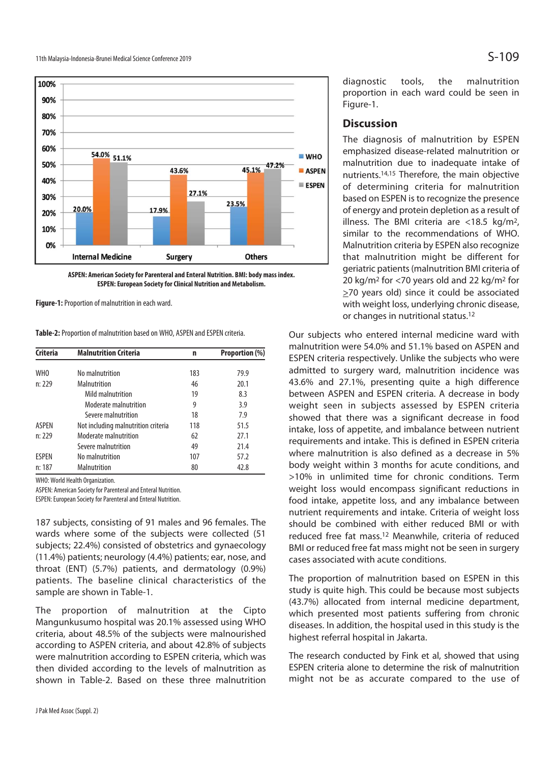

**ASPEN: American Society for Parenteral and Enteral Nutrition. BMI: body mass index. ESPEN: European Society for Clinical Nutrition and Metabolism.** 

**Figure-1:** Proportion of malnutrition in each ward.

**Table-2:** Proportion of malnutrition based on WHO, ASPEN and ESPEN criteria.

| <b>Criteria</b>                                                                             | <b>Malnutrition Criteria</b>        | n   | Proportion (%) |
|---------------------------------------------------------------------------------------------|-------------------------------------|-----|----------------|
| WH <sub>0</sub>                                                                             | No malnutrition                     | 183 | 79.9           |
| n: 229<br>Malnutrition<br>Mild malnutrition<br>Moderate malnutrition<br>Severe malnutrition |                                     | 46  | 20.1           |
|                                                                                             |                                     | 19  | 8.3            |
|                                                                                             |                                     | 9   | 3.9            |
|                                                                                             |                                     | 18  | 7.9            |
| <b>ASPEN</b>                                                                                | Not including malnutrition criteria | 118 | 51.5           |
| n: 229                                                                                      | Moderate malnutrition               | 62  | 27.1           |
|                                                                                             | Severe malnutrition                 | 49  | 21.4           |
| <b>ESPEN</b>                                                                                | No malnutrition                     | 107 | 57.2           |
| n: 187                                                                                      | Malnutrition                        | 80  | 42.8           |

WHO: World Health Organization.

ASPEN: American Society for Parenteral and Enteral Nutrition.

ESPEN: European Society for Parenteral and Enteral Nutrition.

187 subjects, consisting of 91 males and 96 females. The wards where some of the subjects were collected (51 subjects; 22.4%) consisted of obstetrics and gynaecology (11.4%) patients; neurology (4.4%) patients; ear, nose, and throat (ENT) (5.7%) patients, and dermatology (0.9%) patients. The baseline clinical characteristics of the sample are shown in Table-1.

The proportion of malnutrition at the Cipto Mangunkusumo hospital was 20.1% assessed using WHO criteria, about 48.5% of the subjects were malnourished according to ASPEN criteria, and about 42.8% of subjects were malnutrition according to ESPEN criteria, which was then divided according to the levels of malnutrition as shown in Table-2. Based on these three malnutrition

diagnostic tools, the malnutrition proportion in each ward could be seen in Figure-1.

### **Discussion**

The diagnosis of malnutrition by ESPEN emphasized disease-related malnutrition or malnutrition due to inadequate intake of nutrients.14,15 Therefore, the main objective of determining criteria for malnutrition based on ESPEN is to recognize the presence of energy and protein depletion as a result of illness. The BMI criteria are <18.5 kg/m2, similar to the recommendations of WHO. Malnutrition criteria by ESPEN also recognize that malnutrition might be different for geriatric patients (malnutrition BMI criteria of 20 kg/m2 for <70 years old and 22 kg/m2 for >70 years old) since it could be associated with weight loss, underlying chronic disease, or changes in nutritional status.12

Our subjects who entered internal medicine ward with malnutrition were 54.0% and 51.1% based on ASPEN and ESPEN criteria respectively. Unlike the subjects who were admitted to surgery ward, malnutrition incidence was 43.6% and 27.1%, presenting quite a high difference between ASPEN and ESPEN criteria. A decrease in body weight seen in subjects assessed by ESPEN criteria showed that there was a significant decrease in food intake, loss of appetite, and imbalance between nutrient requirements and intake. This is defined in ESPEN criteria where malnutrition is also defined as a decrease in 5% body weight within 3 months for acute conditions, and >10% in unlimited time for chronic conditions. Term weight loss would encompass significant reductions in food intake, appetite loss, and any imbalance between nutrient requirements and intake. Criteria of weight loss should be combined with either reduced BMI or with reduced free fat mass.12 Meanwhile, criteria of reduced BMI or reduced free fat mass might not be seen in surgery cases associated with acute conditions.

The proportion of malnutrition based on ESPEN in this study is quite high. This could be because most subjects (43.7%) allocated from internal medicine department, which presented most patients suffering from chronic diseases. In addition, the hospital used in this study is the highest referral hospital in Jakarta.

The research conducted by Fink et al, showed that using ESPEN criteria alone to determine the risk of malnutrition might not be as accurate compared to the use of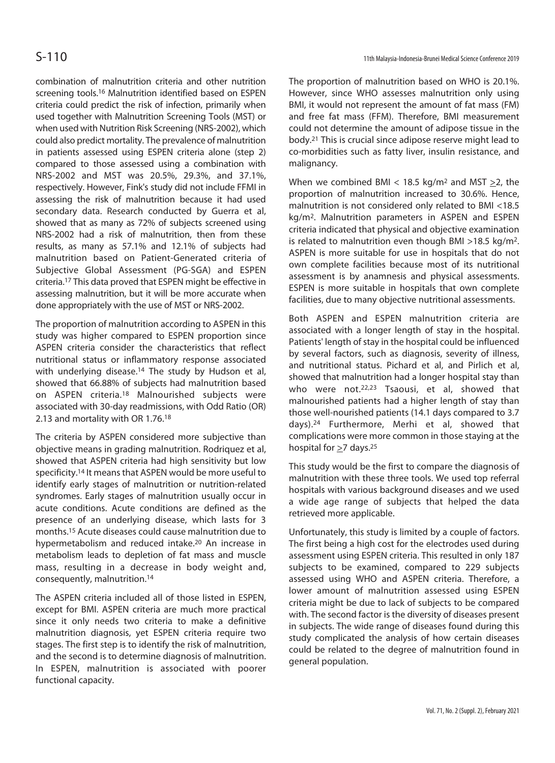combination of malnutrition criteria and other nutrition screening tools.<sup>16</sup> Malnutrition identified based on ESPEN criteria could predict the risk of infection, primarily when used together with Malnutrition Screening Tools (MST) or when used with Nutrition Risk Screening (NRS-2002), which could also predict mortality. The prevalence of malnutrition in patients assessed using ESPEN criteria alone (step 2) compared to those assessed using a combination with NRS-2002 and MST was 20.5%, 29.3%, and 37.1%, respectively. However, Fink's study did not include FFMI in assessing the risk of malnutrition because it had used secondary data. Research conducted by Guerra et al, showed that as many as 72% of subjects screened using NRS-2002 had a risk of malnutrition, then from these results, as many as 57.1% and 12.1% of subjects had malnutrition based on Patient-Generated criteria of Subjective Global Assessment (PG-SGA) and ESPEN criteria.17 This data proved that ESPEN might be effective in assessing malnutrition, but it will be more accurate when done appropriately with the use of MST or NRS-2002.

The proportion of malnutrition according to ASPEN in this study was higher compared to ESPEN proportion since ASPEN criteria consider the characteristics that reflect nutritional status or inflammatory response associated with underlying disease.<sup>14</sup> The study by Hudson et al, showed that 66.88% of subjects had malnutrition based on ASPEN criteria.18 Malnourished subjects were associated with 30-day readmissions, with Odd Ratio (OR) 2.13 and mortality with OR 1.76.18

The criteria by ASPEN considered more subjective than objective means in grading malnutrition. Rodriquez et al, showed that ASPEN criteria had high sensitivity but low specificity.14 It means that ASPEN would be more useful to identify early stages of malnutrition or nutrition-related syndromes. Early stages of malnutrition usually occur in acute conditions. Acute conditions are defined as the presence of an underlying disease, which lasts for 3 months.15 Acute diseases could cause malnutrition due to hypermetabolism and reduced intake.20 An increase in metabolism leads to depletion of fat mass and muscle mass, resulting in a decrease in body weight and, consequently, malnutrition.14

The ASPEN criteria included all of those listed in ESPEN, except for BMI. ASPEN criteria are much more practical since it only needs two criteria to make a definitive malnutrition diagnosis, yet ESPEN criteria require two stages. The first step is to identify the risk of malnutrition, and the second is to determine diagnosis of malnutrition. In ESPEN, malnutrition is associated with poorer functional capacity.

The proportion of malnutrition based on WHO is 20.1%. However, since WHO assesses malnutrition only using BMI, it would not represent the amount of fat mass (FM) and free fat mass (FFM). Therefore, BMI measurement could not determine the amount of adipose tissue in the body.21 This is crucial since adipose reserve might lead to co-morbidities such as fatty liver, insulin resistance, and malignancy.

When we combined BMI < 18.5 kg/m<sup>2</sup> and MST  $\geq$ 2, the proportion of malnutrition increased to 30.6%. Hence, malnutrition is not considered only related to BMI <18.5 kg/m2. Malnutrition parameters in ASPEN and ESPEN criteria indicated that physical and objective examination is related to malnutrition even though BMI >18.5 kg/m2. ASPEN is more suitable for use in hospitals that do not own complete facilities because most of its nutritional assessment is by anamnesis and physical assessments. ESPEN is more suitable in hospitals that own complete facilities, due to many objective nutritional assessments.

Both ASPEN and ESPEN malnutrition criteria are associated with a longer length of stay in the hospital. Patients' length of stay in the hospital could be influenced by several factors, such as diagnosis, severity of illness, and nutritional status. Pichard et al, and Pirlich et al, showed that malnutrition had a longer hospital stay than who were not.<sup>22,23</sup> Tsaousi, et al, showed that malnourished patients had a higher length of stay than those well-nourished patients (14.1 days compared to 3.7 days).24 Furthermore, Merhi et al, showed that complications were more common in those staying at the hospital for >7 days.25

This study would be the first to compare the diagnosis of malnutrition with these three tools. We used top referral hospitals with various background diseases and we used a wide age range of subjects that helped the data retrieved more applicable.

Unfortunately, this study is limited by a couple of factors. The first being a high cost for the electrodes used during assessment using ESPEN criteria. This resulted in only 187 subjects to be examined, compared to 229 subjects assessed using WHO and ASPEN criteria. Therefore, a lower amount of malnutrition assessed using ESPEN criteria might be due to lack of subjects to be compared with. The second factor is the diversity of diseases present in subjects. The wide range of diseases found during this study complicated the analysis of how certain diseases could be related to the degree of malnutrition found in general population.